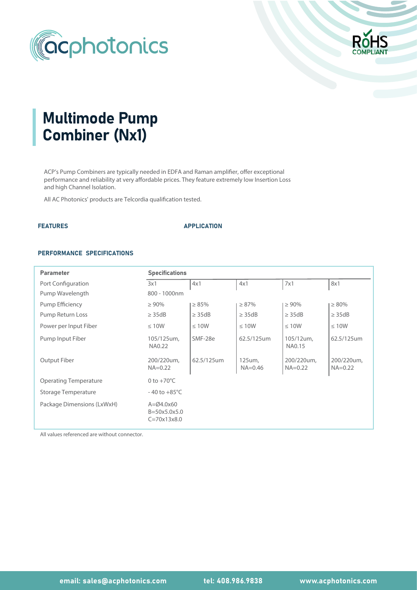



# Multimode Pump Combiner (Nx1)

ACP's Pump Combiners are typically needed in EDFA and Raman amplifier, offer exceptional performance and reliability at very affordable prices. They feature extremely low Insertion Loss and high Channel Isolation.

All AC Photonics' products are Telcordia qualification tested.

## FEATURES APPLICATION

### PERFORMANCE SPECIFICATIONS

| <b>Parameter</b>             | <b>Specifications</b>                                               |             |                       |                           |                           |  |  |  |
|------------------------------|---------------------------------------------------------------------|-------------|-----------------------|---------------------------|---------------------------|--|--|--|
| Port Configuration           | 3x1                                                                 | 4x1         | 4x1                   | 7x1                       | 8x1                       |  |  |  |
| Pump Wavelength              | 800 - 1000nm                                                        |             |                       |                           |                           |  |  |  |
| Pump Efficiency              | $\geq 90\%$                                                         | $\geq 85\%$ | $\geq 87\%$           | $\geq 90\%$               | $\geq 80\%$               |  |  |  |
| Pump Return Loss             | $\geq$ 35dB                                                         | $\geq$ 35dB | $\geq$ 35dB           | $\geq$ 35dB               | $\geq$ 35dB               |  |  |  |
| Power per Input Fiber        | $\leq 10W$                                                          | $\leq 10W$  | $\leq 10W$            | $\leq 10W$                | $\leq 10W$                |  |  |  |
| Pump Input Fiber             | 105/125um,<br>NA0.22                                                | SMF-28e     | 62.5/125um            | 105/12um,<br>NA0.15       | 62.5/125um                |  |  |  |
| Output Fiber                 | 200/220um,<br>$NA = 0.22$                                           | 62.5/125um  | 125um,<br>$NA = 0.46$ | 200/220um,<br>$NA = 0.22$ | 200/220um,<br>$NA = 0.22$ |  |  |  |
| <b>Operating Temperature</b> | 0 to $+70^{\circ}$ C                                                |             |                       |                           |                           |  |  |  |
| <b>Storage Temperature</b>   | $-40$ to $+85^{\circ}$ C                                            |             |                       |                           |                           |  |  |  |
| Package Dimensions (LxWxH)   | $A = \emptyset4.0 \times 60$<br>$B = 50x5.0x5.0$<br>$C = 70x13x8.0$ |             |                       |                           |                           |  |  |  |

All values referenced are without connector.